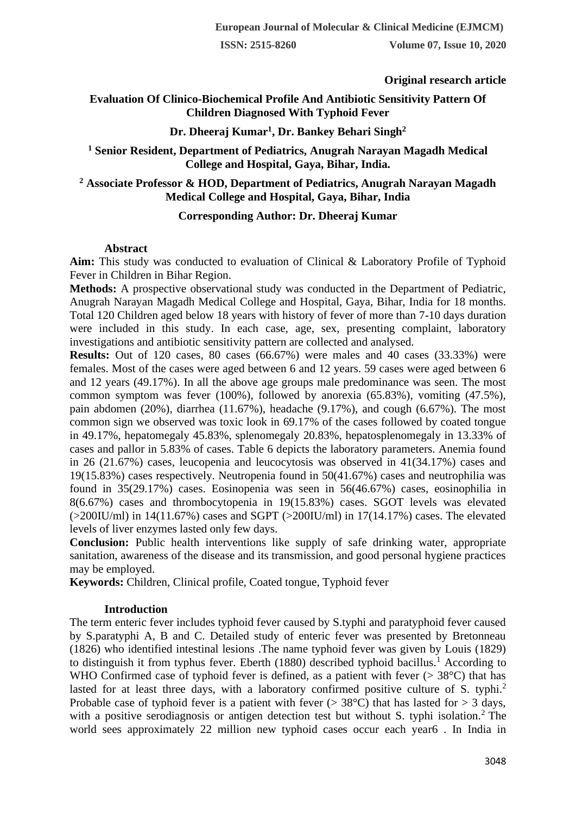# **Original research article**

# **Evaluation Of Clinico-Biochemical Profile And Antibiotic Sensitivity Pattern Of Children Diagnosed With Typhoid Fever**

# **Dr. Dheeraj Kumar<sup>1</sup> , Dr. Bankey Behari Singh<sup>2</sup>**

# **<sup>1</sup> Senior Resident, Department of Pediatrics, Anugrah Narayan Magadh Medical College and Hospital, Gaya, Bihar, India.**

# **<sup>2</sup> Associate Professor & HOD, Department of Pediatrics, Anugrah Narayan Magadh Medical College and Hospital, Gaya, Bihar, India**

# **Corresponding Author: Dr. Dheeraj Kumar**

# **Abstract**

**Aim:** This study was conducted to evaluation of Clinical & Laboratory Profile of Typhoid Fever in Children in Bihar Region.

**Methods:** A prospective observational study was conducted in the Department of Pediatric, Anugrah Narayan Magadh Medical College and Hospital, Gaya, Bihar, India for 18 months. Total 120 Children aged below 18 years with history of fever of more than 7-10 days duration were included in this study. In each case, age, sex, presenting complaint, laboratory investigations and antibiotic sensitivity pattern are collected and analysed.

**Results:** Out of 120 cases, 80 cases (66.67%) were males and 40 cases (33.33%) were females. Most of the cases were aged between 6 and 12 years. 59 cases were aged between 6 and 12 years (49.17%). In all the above age groups male predominance was seen. The most common symptom was fever (100%), followed by anorexia (65.83%), vomiting (47.5%), pain abdomen  $(20\%)$ , diarrhea  $(11.67\%)$ , headache  $(9.17\%)$ , and cough  $(6.67\%)$ . The most common sign we observed was toxic look in 69.17% of the cases followed by coated tongue in 49.17%, hepatomegaly 45.83%, splenomegaly 20.83%, hepatosplenomegaly in 13.33% of cases and pallor in 5.83% of cases. Table 6 depicts the laboratory parameters. Anemia found in 26 (21.67%) cases, leucopenia and leucocytosis was observed in 41(34.17%) cases and 19(15.83%) cases respectively. Neutropenia found in 50(41.67%) cases and neutrophilia was found in 35(29.17%) cases. Eosinopenia was seen in 56(46.67%) cases, eosinophilia in 8(6.67%) cases and thrombocytopenia in 19(15.83%) cases. SGOT levels was elevated  $(>200$ IU/ml) in 14(11.67%) cases and SGPT  $(>200$ IU/ml) in 17(14.17%) cases. The elevated levels of liver enzymes lasted only few days.

**Conclusion:** Public health interventions like supply of safe drinking water, appropriate sanitation, awareness of the disease and its transmission, and good personal hygiene practices may be employed.

**Keywords:** Children, Clinical profile, Coated tongue, Typhoid fever

# **Introduction**

The term enteric fever includes typhoid fever caused by S.typhi and paratyphoid fever caused by S.paratyphi A, B and C. Detailed study of enteric fever was presented by Bretonneau (1826) who identified intestinal lesions .The name typhoid fever was given by Louis (1829) to distinguish it from typhus fever. Eberth (1880) described typhoid bacillus.<sup>1</sup> According to WHO Confirmed case of typhoid fever is defined, as a patient with fever ( $>$  38 $^{\circ}$ C) that has lasted for at least three days, with a laboratory confirmed positive culture of S. typhi.<sup>2</sup> Probable case of typhoid fever is a patient with fever ( $>$  38 $^{\circ}$ C) that has lasted for  $>$  3 days, with a positive serodiagnosis or antigen detection test but without S. typhi isolation.<sup>2</sup> The world sees approximately 22 million new typhoid cases occur each year6 . In India in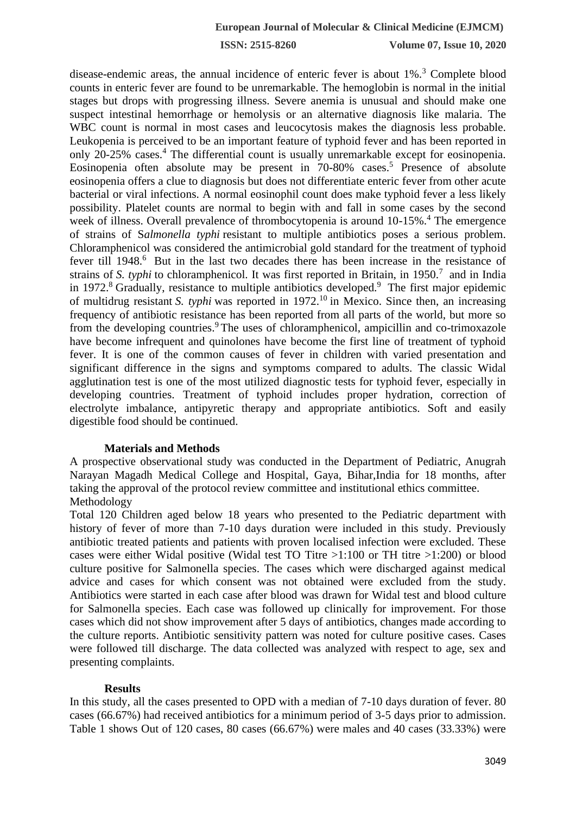**ISSN: 2515-8260 Volume 07, Issue 10, 2020**

disease-endemic areas, the annual incidence of enteric fever is about 1%.<sup>3</sup> Complete blood counts in enteric fever are found to be unremarkable. The hemoglobin is normal in the initial stages but drops with progressing illness. Severe anemia is unusual and should make one suspect intestinal hemorrhage or hemolysis or an alternative diagnosis like malaria. The WBC count is normal in most cases and leucocytosis makes the diagnosis less probable. Leukopenia is perceived to be an important feature of typhoid fever and has been reported in only 20-25% cases.<sup>4</sup> The differential count is usually unremarkable except for eosinopenia. Eosinopenia often absolute may be present in  $70-80\%$  cases.<sup>5</sup> Presence of absolute eosinopenia offers a clue to diagnosis but does not differentiate enteric fever from other acute bacterial or viral infections. A normal eosinophil count does make typhoid fever a less likely possibility. Platelet counts are normal to begin with and fall in some cases by the second week of illness. Overall prevalence of thrombocytopenia is around 10-15%.<sup>4</sup> The emergence of strains of S*almonella typhi* resistant to multiple antibiotics poses a serious problem. Chloramphenicol was considered the antimicrobial gold standard for the treatment of typhoid fever till 1948.<sup>6</sup> But in the last two decades there has been increase in the resistance of strains of *S. typhi* to chloramphenicol. It was first reported in Britain, in 1950.<sup>7</sup> and in India in 1972.<sup>8</sup> Gradually, resistance to multiple antibiotics developed.<sup>9</sup> The first major epidemic of multidrug resistant *S. typhi* was reported in 1972.<sup>10</sup> in Mexico. Since then, an increasing frequency of antibiotic resistance has been reported from all parts of the world, but more so from the developing countries.<sup>9</sup> The uses of chloramphenicol, ampicillin and co-trimoxazole have become infrequent and quinolones have become the first line of treatment of typhoid fever. It is one of the common causes of fever in children with varied presentation and significant difference in the signs and symptoms compared to adults. The classic Widal agglutination test is one of the most utilized diagnostic tests for typhoid fever, especially in developing countries. Treatment of typhoid includes proper hydration, correction of electrolyte imbalance, antipyretic therapy and appropriate antibiotics. Soft and easily digestible food should be continued.

#### **Materials and Methods**

A prospective observational study was conducted in the Department of Pediatric, Anugrah Narayan Magadh Medical College and Hospital, Gaya, Bihar,India for 18 months, after taking the approval of the protocol review committee and institutional ethics committee. Methodology

Total 120 Children aged below 18 years who presented to the Pediatric department with history of fever of more than 7-10 days duration were included in this study. Previously antibiotic treated patients and patients with proven localised infection were excluded. These cases were either Widal positive (Widal test TO Titre >1:100 or TH titre >1:200) or blood culture positive for Salmonella species. The cases which were discharged against medical advice and cases for which consent was not obtained were excluded from the study. Antibiotics were started in each case after blood was drawn for Widal test and blood culture for Salmonella species. Each case was followed up clinically for improvement. For those cases which did not show improvement after 5 days of antibiotics, changes made according to the culture reports. Antibiotic sensitivity pattern was noted for culture positive cases. Cases were followed till discharge. The data collected was analyzed with respect to age, sex and presenting complaints.

#### **Results**

In this study, all the cases presented to OPD with a median of 7-10 days duration of fever. 80 cases (66.67%) had received antibiotics for a minimum period of 3-5 days prior to admission. Table 1 shows Out of 120 cases, 80 cases (66.67%) were males and 40 cases (33.33%) were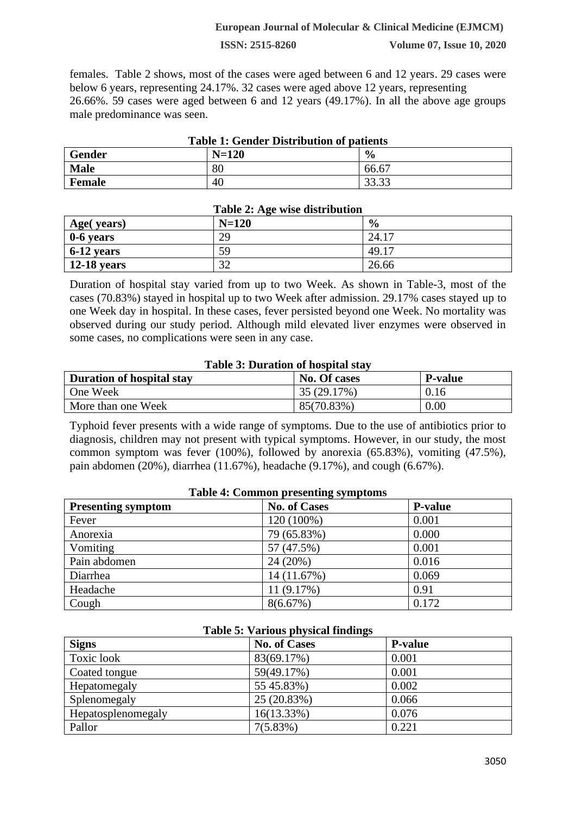#### **European Journal of Molecular & Clinical Medicine (EJMCM)**

**ISSN: 2515-8260 Volume 07, Issue 10, 2020**

females. Table 2 shows, most of the cases were aged between 6 and 12 years. 29 cases were below 6 years, representing 24.17%. 32 cases were aged above 12 years, representing 26.66%. 59 cases were aged between 6 and 12 years (49.17%). In all the above age groups male predominance was seen.

| Table 1: Gender Distribution of patients |         |                |
|------------------------------------------|---------|----------------|
| <b>Gender</b>                            | $N=120$ | $\frac{0}{0}$  |
| <b>Male</b>                              | 80      | 66.67          |
| Female                                   | 40      | ാറ ററ<br>JJ.JJ |

### **Table 1: Gender Distribution of patients**

| Table 2: Age wise distribution |         |               |  |
|--------------------------------|---------|---------------|--|
| Age(years)                     | $N=120$ | $\frac{0}{0}$ |  |
| 0-6 years                      | 29      | 24.17         |  |
| $6-12$ years                   | 59      | 49.17         |  |
| $\vert$ 12-18 years            | 32      | 26.66         |  |

#### **Table 2: Age wise distribution**

Duration of hospital stay varied from up to two Week. As shown in Table-3, most of the cases (70.83%) stayed in hospital up to two Week after admission. 29.17% cases stayed up to one Week day in hospital. In these cases, fever persisted beyond one Week. No mortality was observed during our study period. Although mild elevated liver enzymes were observed in some cases, no complications were seen in any case.

#### **Table 3: Duration of hospital stay**

| <b>Duration of hospital stay</b> | No. Of cases | <b>P-value</b> |
|----------------------------------|--------------|----------------|
| One Week                         | 35 (29.17%)  | 0.16           |
| More than one Week               | 85(70.83%)   | 0.00           |

Typhoid fever presents with a wide range of symptoms. Due to the use of antibiotics prior to diagnosis, children may not present with typical symptoms. However, in our study, the most common symptom was fever (100%), followed by anorexia (65.83%), vomiting (47.5%), pain abdomen (20%), diarrhea (11.67%), headache (9.17%), and cough (6.67%).

| Table 4: Common presenting symptoms |                     |                |  |
|-------------------------------------|---------------------|----------------|--|
| <b>Presenting symptom</b>           | <b>No. of Cases</b> | <b>P-value</b> |  |
| Fever                               | 120 (100%)          | 0.001          |  |
| Anorexia                            | 79 (65.83%)         | 0.000          |  |
| Vomiting                            | 57 (47.5%)          | 0.001          |  |
| Pain abdomen                        | 24 (20%)            | 0.016          |  |
| Diarrhea                            | 14 (11.67%)         | 0.069          |  |
| Headache                            | 11 (9.17%)          | 0.91           |  |
| Cough                               | 8(6.67%)            | 0.172          |  |

# **Table 4: Common presenting symptoms**

#### **Table 5: Various physical findings**

| <b>Signs</b>       | <b>No. of Cases</b> | <b>P-value</b> |
|--------------------|---------------------|----------------|
| Toxic look         | 83(69.17%)          | 0.001          |
| Coated tongue      | 59(49.17%)          | 0.001          |
| Hepatomegaly       | 55 45.83%)          | 0.002          |
| Splenomegaly       | 25 (20.83%)         | 0.066          |
| Hepatosplenomegaly | $16(13.33\%)$       | 0.076          |
| Pallor             | 7(5.83%)            | 0.221          |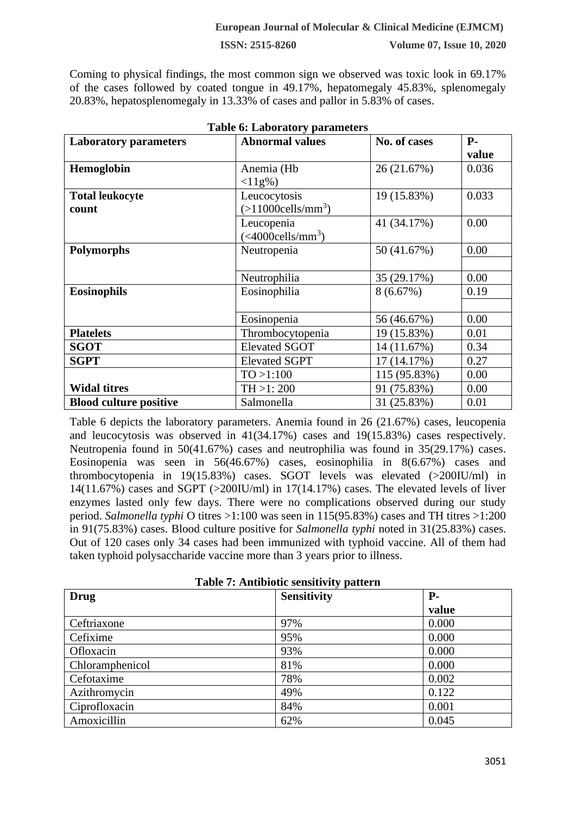**ISSN: 2515-8260 Volume 07, Issue 10, 2020**

Coming to physical findings, the most common sign we observed was toxic look in 69.17% of the cases followed by coated tongue in 49.17%, hepatomegaly 45.83%, splenomegaly 20.83%, hepatosplenomegaly in 13.33% of cases and pallor in 5.83% of cases.

| <b>Laboratory parameters</b>  | <b>Abnormal values</b>              | No. of cases | $P-$  |
|-------------------------------|-------------------------------------|--------------|-------|
|                               |                                     |              | value |
| Hemoglobin                    | Anemia (Hb                          | 26 (21.67%)  | 0.036 |
|                               | $<11g%$ )                           |              |       |
| <b>Total leukocyte</b>        | Leucocytosis                        | 19 (15.83%)  | 0.033 |
| count                         | $(>11000$ cells/mm <sup>3</sup> )   |              |       |
|                               | Leucopenia                          | 41 (34.17%)  | 0.00  |
|                               | $(<\frac{4000}{\text{cells/mm}^3})$ |              |       |
| <b>Polymorphs</b>             | Neutropenia                         | 50 (41.67%)  | 0.00  |
|                               |                                     |              |       |
|                               | Neutrophilia                        | 35 (29.17%)  | 0.00  |
| <b>Eosinophils</b>            | Eosinophilia                        | 8(6.67%)     | 0.19  |
|                               |                                     |              |       |
|                               | Eosinopenia                         | 56 (46.67%)  | 0.00  |
| <b>Platelets</b>              | Thrombocytopenia                    | 19 (15.83%)  | 0.01  |
| <b>SGOT</b>                   | <b>Elevated SGOT</b>                | 14 (11.67%)  | 0.34  |
| <b>SGPT</b>                   | <b>Elevated SGPT</b>                | 17 (14.17%)  | 0.27  |
|                               | TO > 1:100                          | 115 (95.83%) | 0.00  |
| <b>Widal titres</b>           | TH > 1:200                          | 91 (75.83%)  | 0.00  |
| <b>Blood culture positive</b> | Salmonella                          | 31 (25.83%)  | 0.01  |

**Table 6: Laboratory parameters**

Table 6 depicts the laboratory parameters. Anemia found in 26 (21.67%) cases, leucopenia and leucocytosis was observed in 41(34.17%) cases and 19(15.83%) cases respectively. Neutropenia found in 50(41.67%) cases and neutrophilia was found in 35(29.17%) cases. Eosinopenia was seen in 56(46.67%) cases, eosinophilia in 8(6.67%) cases and thrombocytopenia in 19(15.83%) cases. SGOT levels was elevated (>200IU/ml) in 14(11.67%) cases and SGPT  $(>200$ IU/ml) in 17(14.17%) cases. The elevated levels of liver enzymes lasted only few days. There were no complications observed during our study period. *Salmonella typhi* O titres >1:100 was seen in 115(95.83%) cases and TH titres >1:200 in 91(75.83%) cases. Blood culture positive for *Salmonella typhi* noted in 31(25.83%) cases. Out of 120 cases only 34 cases had been immunized with typhoid vaccine. All of them had taken typhoid polysaccharide vaccine more than 3 years prior to illness.

| Table 7: Antibiotic sensitivity pattern |                    |       |  |
|-----------------------------------------|--------------------|-------|--|
| <b>Drug</b>                             | <b>Sensitivity</b> | $P-$  |  |
|                                         |                    | value |  |
| Ceftriaxone                             | 97%                | 0.000 |  |
| Cefixime                                | 95%                | 0.000 |  |
| Ofloxacin                               | 93%                | 0.000 |  |
| Chloramphenicol                         | 81%                | 0.000 |  |
| Cefotaxime                              | 78%                | 0.002 |  |
| Azithromycin                            | 49%                | 0.122 |  |
| Ciprofloxacin                           | 84%                | 0.001 |  |
| Amoxicillin                             | 62%                | 0.045 |  |

**Table 7: Antibiotic sensitivity pattern**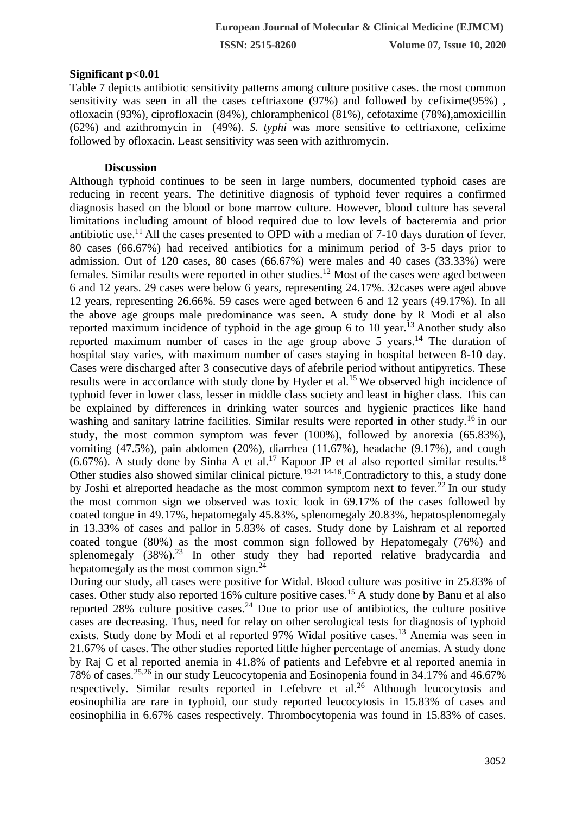**ISSN: 2515-8260 Volume 07, Issue 10, 2020**

# **Significant p<0.01**

Table 7 depicts antibiotic sensitivity patterns among culture positive cases. the most common sensitivity was seen in all the cases ceftriaxone (97%) and followed by cefixime(95%) , ofloxacin (93%), ciprofloxacin (84%), chloramphenicol (81%), cefotaxime (78%),amoxicillin (62%) and azithromycin in (49%). *S. typhi* was more sensitive to ceftriaxone, cefixime followed by ofloxacin. Least sensitivity was seen with azithromycin.

# **Discussion**

Although typhoid continues to be seen in large numbers, documented typhoid cases are reducing in recent years. The definitive diagnosis of typhoid fever requires a confirmed diagnosis based on the blood or bone marrow culture. However, blood culture has several limitations including amount of blood required due to low levels of bacteremia and prior antibiotic use.<sup>11</sup> All the cases presented to OPD with a median of  $7-10$  days duration of fever. 80 cases (66.67%) had received antibiotics for a minimum period of 3-5 days prior to admission. Out of 120 cases, 80 cases (66.67%) were males and 40 cases (33.33%) were females. Similar results were reported in other studies.<sup>12</sup> Most of the cases were aged between 6 and 12 years. 29 cases were below 6 years, representing 24.17%. 32cases were aged above 12 years, representing 26.66%. 59 cases were aged between 6 and 12 years (49.17%). In all the above age groups male predominance was seen. A study done by R Modi et al also reported maximum incidence of typhoid in the age group 6 to 10 year.<sup>13</sup> Another study also reported maximum number of cases in the age group above 5 years.<sup>14</sup> The duration of hospital stay varies, with maximum number of cases staying in hospital between 8-10 day. Cases were discharged after 3 consecutive days of afebrile period without antipyretics. These results were in accordance with study done by Hyder et al.<sup>15</sup> We observed high incidence of typhoid fever in lower class, lesser in middle class society and least in higher class. This can be explained by differences in drinking water sources and hygienic practices like hand washing and sanitary latrine facilities. Similar results were reported in other study.<sup>16</sup> in our study, the most common symptom was fever (100%), followed by anorexia (65.83%), vomiting (47.5%), pain abdomen (20%), diarrhea (11.67%), headache (9.17%), and cough  $(6.67\%)$ . A study done by Sinha A et al.<sup>17</sup> Kapoor JP et al also reported similar results.<sup>18</sup> Other studies also showed similar clinical picture.<sup>19-21 14-16</sup>. Contradictory to this, a study done by Joshi et alreported headache as the most common symptom next to fever.<sup>22</sup> In our study the most common sign we observed was toxic look in 69.17% of the cases followed by coated tongue in 49.17%, hepatomegaly 45.83%, splenomegaly 20.83%, hepatosplenomegaly in 13.33% of cases and pallor in 5.83% of cases. Study done by Laishram et al reported coated tongue (80%) as the most common sign followed by Hepatomegaly (76%) and splenomegaly  $(38\%)$ .<sup>23</sup> In other study they had reported relative bradycardia and hepatomegaly as the most common sign. $^{24}$ 

During our study, all cases were positive for Widal. Blood culture was positive in 25.83% of cases. Other study also reported 16% culture positive cases.<sup>15</sup> A study done by Banu et al also reported 28% culture positive cases.<sup>24</sup> Due to prior use of antibiotics, the culture positive cases are decreasing. Thus, need for relay on other serological tests for diagnosis of typhoid exists. Study done by Modi et al reported 97% Widal positive cases.<sup>13</sup> Anemia was seen in 21.67% of cases. The other studies reported little higher percentage of anemias. A study done by Raj C et al reported anemia in 41.8% of patients and Lefebvre et al reported anemia in 78% of cases.25,26 in our study Leucocytopenia and Eosinopenia found in 34.17% and 46.67% respectively. Similar results reported in Lefebvre et al.<sup>26</sup> Although leucocytosis and eosinophilia are rare in typhoid, our study reported leucocytosis in 15.83% of cases and eosinophilia in 6.67% cases respectively. Thrombocytopenia was found in 15.83% of cases.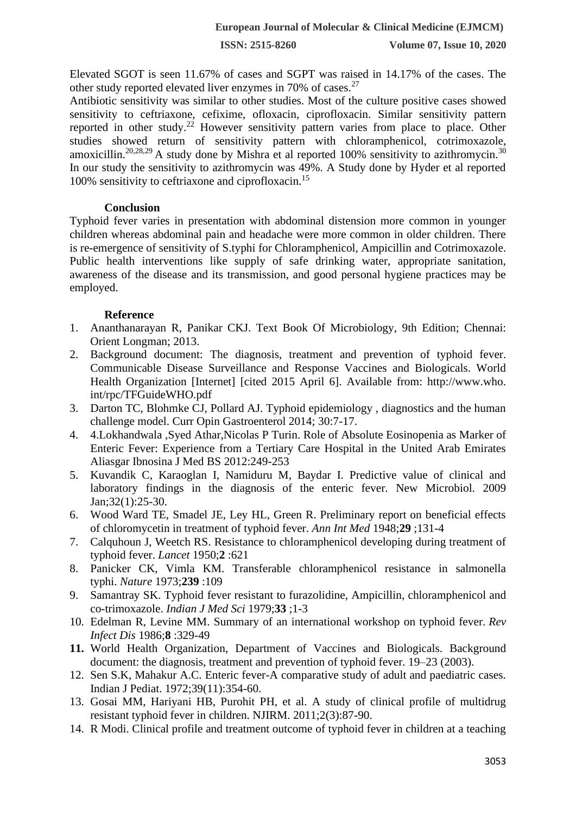Elevated SGOT is seen 11.67% of cases and SGPT was raised in 14.17% of the cases. The other study reported elevated liver enzymes in 70% of cases.<sup>27</sup>

Antibiotic sensitivity was similar to other studies. Most of the culture positive cases showed sensitivity to ceftriaxone, cefixime, ofloxacin, ciprofloxacin. Similar sensitivity pattern reported in other study.<sup>22</sup> However sensitivity pattern varies from place to place. Other studies showed return of sensitivity pattern with chloramphenicol, cotrimoxazole, amoxicillin.<sup>20,28,29</sup> A study done by Mishra et al reported 100% sensitivity to azithromycin.<sup>30</sup> In our study the sensitivity to azithromycin was 49%. A Study done by Hyder et al reported 100% sensitivity to ceftriaxone and ciprofloxacin.<sup>15</sup>

# **Conclusion**

Typhoid fever varies in presentation with abdominal distension more common in younger children whereas abdominal pain and headache were more common in older children. There is re-emergence of sensitivity of S.typhi for Chloramphenicol, Ampicillin and Cotrimoxazole. Public health interventions like supply of safe drinking water, appropriate sanitation, awareness of the disease and its transmission, and good personal hygiene practices may be employed.

# **Reference**

- 1. Ananthanarayan R, Panikar CKJ. Text Book Of Microbiology, 9th Edition; Chennai: Orient Longman; 2013.
- 2. Background document: The diagnosis, treatment and prevention of typhoid fever. Communicable Disease Surveillance and Response Vaccines and Biologicals. World Health Organization [Internet] [cited 2015 April 6]. Available from: http://www.who. int/rpc/TFGuideWHO.pdf
- 3. Darton TC, Blohmke CJ, Pollard AJ. Typhoid epidemiology , diagnostics and the human challenge model. Curr Opin Gastroenterol 2014; 30:7-17.
- 4. 4.Lokhandwala ,Syed Athar,Nicolas P Turin. Role of Absolute Eosinopenia as Marker of Enteric Fever: Experience from a Tertiary Care Hospital in the United Arab Emirates Aliasgar Ibnosina J Med BS 2012:249-253
- 5. Kuvandik C, Karaoglan I, Namiduru M, Baydar I. Predictive value of clinical and laboratory findings in the diagnosis of the enteric fever. New Microbiol. 2009 Jan;32(1):25-30.
- 6. Wood Ward TE, Smadel JE, Ley HL, Green R. Preliminary report on beneficial effects of chloromycetin in treatment of typhoid fever. *Ann Int Med* 1948;**29** ;131-4
- 7. Calquhoun J, Weetch RS. Resistance to chloramphenicol developing during treatment of typhoid fever. *Lancet* 1950;**2** :621
- 8. Panicker CK, Vimla KM. Transferable chloramphenicol resistance in salmonella typhi. *Nature* 1973;**239** :109
- 9. Samantray SK. Typhoid fever resistant to furazolidine, Ampicillin, chloramphenicol and co-trimoxazole. *Indian J Med Sci* 1979;**33** ;1-3
- 10. Edelman R, Levine MM. Summary of an international workshop on typhoid fever. *Rev Infect Dis* 1986;**8** :329-49
- **11.** World Health Organization, Department of Vaccines and Biologicals. Background document: the diagnosis, treatment and prevention of typhoid fever. 19–23 (2003).
- 12. Sen S.K, Mahakur A.C. Enteric fever-A comparative study of adult and paediatric cases. Indian J Pediat. 1972;39(11):354-60.
- 13. Gosai MM, Hariyani HB, Purohit PH, et al. A study of clinical profile of multidrug resistant typhoid fever in children. NJIRM. 2011;2(3):87-90.
- 14. R Modi. Clinical profile and treatment outcome of typhoid fever in children at a teaching